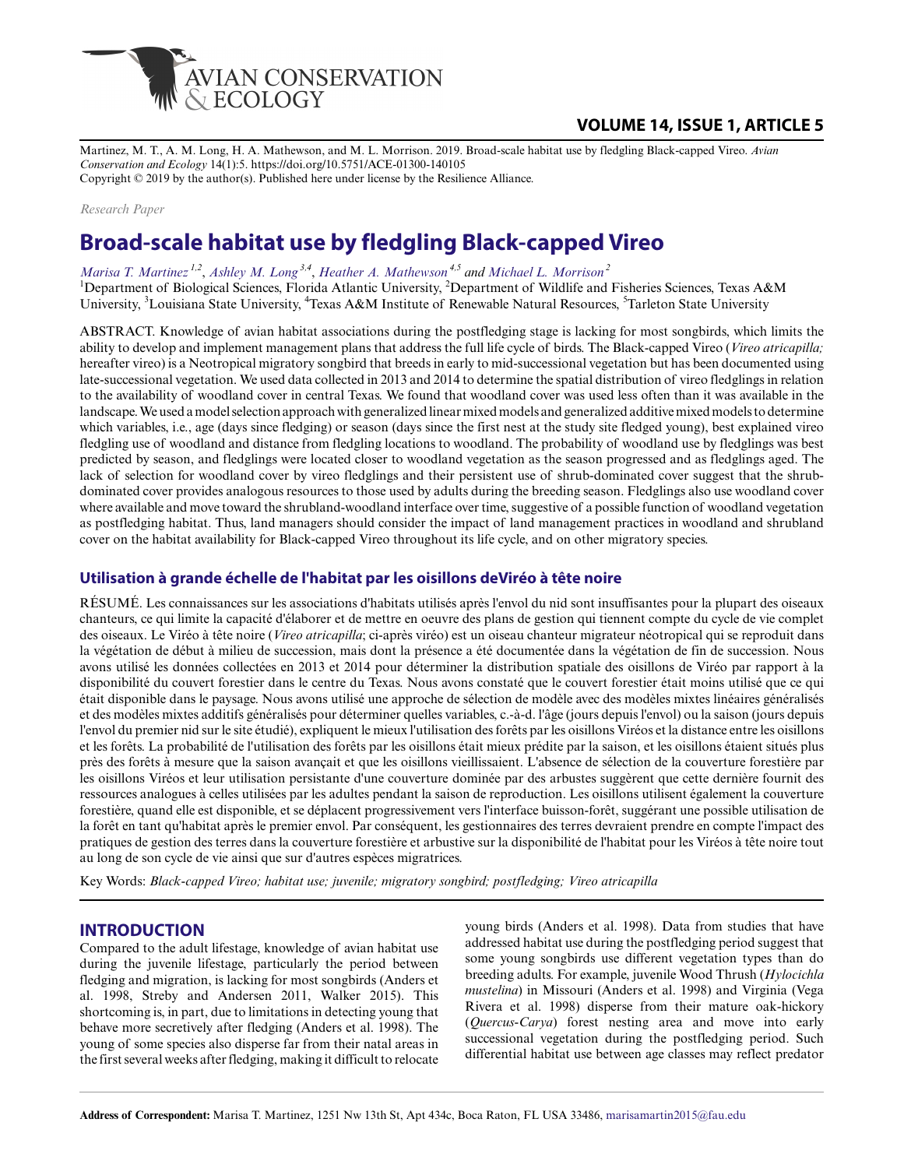

# **VOLUME 14, ISSUE 1, ARTICLE 5**

Martinez, M. T., A. M. Long, H. A. Mathewson, and M. L. Morrison. 2019. Broad-scale habitat use by fledgling Black-capped Vireo. *Avian Conservation and Ecology* 14(1):5. https://doi.org/10.5751/ACE-01300-140105 Copyright © 2019 by the author(s). Published here under license by the Resilience Alliance.

*Research Paper*

# **Broad-scale habitat use by fledgling Black-capped Vireo**

*[Marisa T. Martinez](mailto:marisamartin2015@fau.edu)*<sup>1,2</sup>, *[Ashley M. Long](mailto:AMLong@agcenter.lsu.edu)*<sup>3,4</sup>, *[Heather A. Mathewson](mailto:mathewson@tarleton.edu)*<sup>4,5</sup> and [Michael L. Morrison](mailto:mlmorrison@tamu.edu)<sup>2</sup>

<sup>1</sup>Department of Biological Sciences, Florida Atlantic University, <sup>2</sup>Department of Wildlife and Fisheries Sciences, Texas A&M University, <sup>3</sup>Louisiana State University, <sup>4</sup>Texas A&M Institute of Renewable Natural Resources, <sup>5</sup>Tarleton State University

ABSTRACT. Knowledge of avian habitat associations during the postfledging stage is lacking for most songbirds, which limits the ability to develop and implement management plans that address the full life cycle of birds. The Black-capped Vireo (*Vireo atricapilla;* hereafter vireo) is a Neotropical migratory songbird that breeds in early to mid-successional vegetation but has been documented using late-successional vegetation. We used data collected in 2013 and 2014 to determine the spatial distribution of vireo fledglings in relation to the availability of woodland cover in central Texas. We found that woodland cover was used less often than it was available in the landscape. We used a model selection approach with generalized linear mixed models and generalized additive mixed models to determine which variables, i.e., age (days since fledging) or season (days since the first nest at the study site fledged young), best explained vireo fledgling use of woodland and distance from fledgling locations to woodland. The probability of woodland use by fledglings was best predicted by season, and fledglings were located closer to woodland vegetation as the season progressed and as fledglings aged. The lack of selection for woodland cover by vireo fledglings and their persistent use of shrub-dominated cover suggest that the shrubdominated cover provides analogous resources to those used by adults during the breeding season. Fledglings also use woodland cover where available and move toward the shrubland-woodland interface over time, suggestive of a possible function of woodland vegetation as postfledging habitat. Thus, land managers should consider the impact of land management practices in woodland and shrubland cover on the habitat availability for Black-capped Vireo throughout its life cycle, and on other migratory species.

#### **Utilisation à grande échelle de l'habitat par les oisillons deViréo à tête noire**

RÉSUMÉ. Les connaissances sur les associations d'habitats utilisés après l'envol du nid sont insuffisantes pour la plupart des oiseaux chanteurs, ce qui limite la capacité d'élaborer et de mettre en oeuvre des plans de gestion qui tiennent compte du cycle de vie complet des oiseaux. Le Viréo à tête noire (*Vireo atricapilla*; ci-après viréo) est un oiseau chanteur migrateur néotropical qui se reproduit dans la végétation de début à milieu de succession, mais dont la présence a été documentée dans la végétation de fin de succession. Nous avons utilisé les données collectées en 2013 et 2014 pour déterminer la distribution spatiale des oisillons de Viréo par rapport à la disponibilité du couvert forestier dans le centre du Texas. Nous avons constaté que le couvert forestier était moins utilisé que ce qui était disponible dans le paysage. Nous avons utilisé une approche de sélection de modèle avec des modèles mixtes linéaires généralisés et des modèles mixtes additifs généralisés pour déterminer quelles variables, c.-à-d. l'âge (jours depuis l'envol) ou la saison (jours depuis l'envol du premier nid sur le site étudié), expliquent le mieux l'utilisation des forêts par les oisillons Viréos et la distance entre les oisillons et les forêts. La probabilité de l'utilisation des forêts par les oisillons était mieux prédite par la saison, et les oisillons étaient situés plus près des forêts à mesure que la saison avançait et que les oisillons vieillissaient. L'absence de sélection de la couverture forestière par les oisillons Viréos et leur utilisation persistante d'une couverture dominée par des arbustes suggèrent que cette dernière fournit des ressources analogues à celles utilisées par les adultes pendant la saison de reproduction. Les oisillons utilisent également la couverture forestière, quand elle est disponible, et se déplacent progressivement vers l'interface buisson-forêt, suggérant une possible utilisation de la forêt en tant qu'habitat après le premier envol. Par conséquent, les gestionnaires des terres devraient prendre en compte l'impact des pratiques de gestion des terres dans la couverture forestière et arbustive sur la disponibilité de l'habitat pour les Viréos à tête noire tout au long de son cycle de vie ainsi que sur d'autres espèces migratrices.

Key Words: *Black-capped Vireo; habitat use; juvenile; migratory songbird; postfledging; Vireo atricapilla*

#### **INTRODUCTION**

Compared to the adult lifestage, knowledge of avian habitat use during the juvenile lifestage, particularly the period between fledging and migration, is lacking for most songbirds (Anders et al. 1998, Streby and Andersen 2011, Walker 2015). This shortcoming is, in part, due to limitations in detecting young that behave more secretively after fledging (Anders et al. 1998). The young of some species also disperse far from their natal areas in the first several weeks after fledging, making it difficult to relocate

young birds (Anders et al. 1998). Data from studies that have addressed habitat use during the postfledging period suggest that some young songbirds use different vegetation types than do breeding adults. For example, juvenile Wood Thrush (*Hylocichla mustelina*) in Missouri (Anders et al. 1998) and Virginia (Vega Rivera et al. 1998) disperse from their mature oak-hickory (*Quercus-Carya*) forest nesting area and move into early successional vegetation during the postfledging period. Such differential habitat use between age classes may reflect predator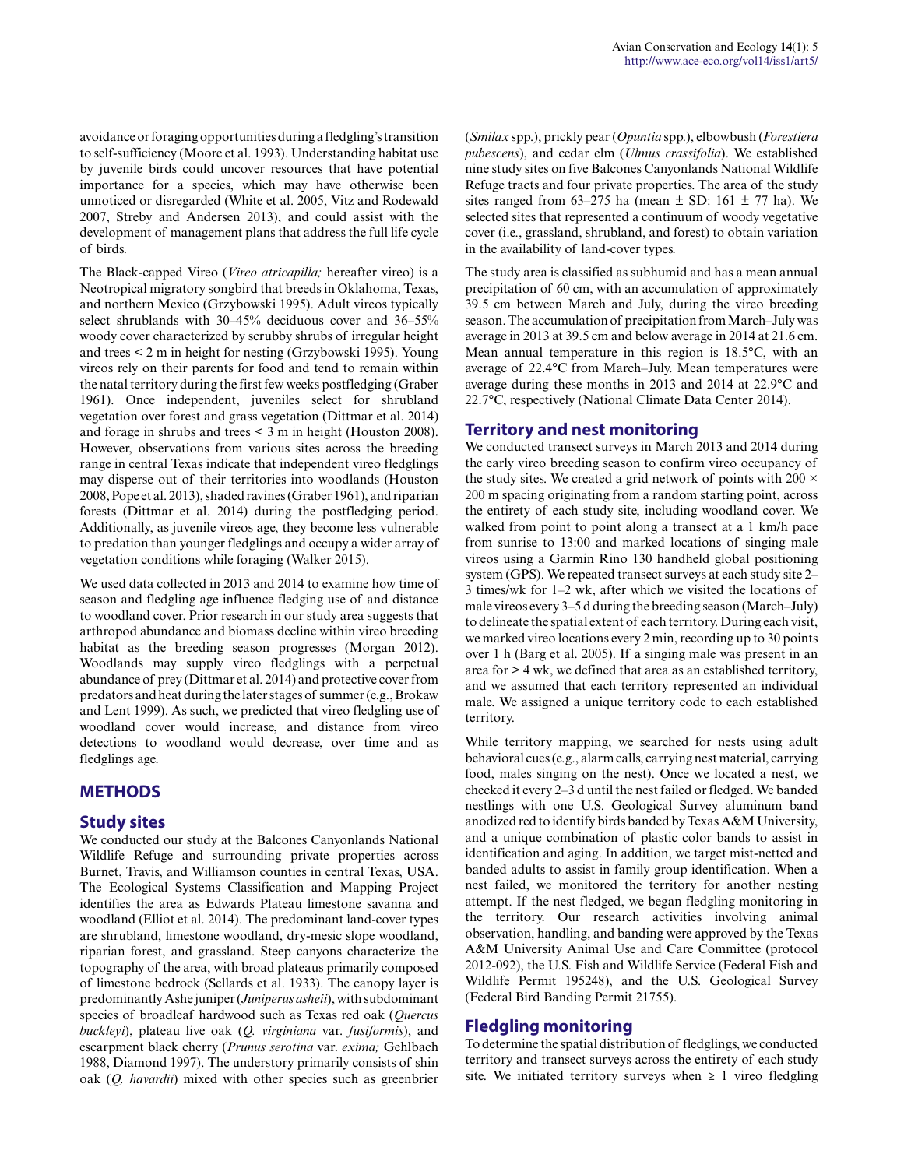avoidance or foraging opportunities during a fledgling's transition to self-sufficiency (Moore et al. 1993). Understanding habitat use by juvenile birds could uncover resources that have potential importance for a species, which may have otherwise been unnoticed or disregarded (White et al. 2005, Vitz and Rodewald 2007, Streby and Andersen 2013), and could assist with the development of management plans that address the full life cycle of birds.

The Black-capped Vireo (*Vireo atricapilla;* hereafter vireo) is a Neotropical migratory songbird that breeds in Oklahoma, Texas, and northern Mexico (Grzybowski 1995). Adult vireos typically select shrublands with 30–45% deciduous cover and 36–55% woody cover characterized by scrubby shrubs of irregular height and trees < 2 m in height for nesting (Grzybowski 1995). Young vireos rely on their parents for food and tend to remain within the natal territory during the first few weeks postfledging (Graber 1961). Once independent, juveniles select for shrubland vegetation over forest and grass vegetation (Dittmar et al. 2014) and forage in shrubs and trees < 3 m in height (Houston 2008). However, observations from various sites across the breeding range in central Texas indicate that independent vireo fledglings may disperse out of their territories into woodlands (Houston 2008, Pope et al. 2013), shaded ravines (Graber 1961), and riparian forests (Dittmar et al. 2014) during the postfledging period. Additionally, as juvenile vireos age, they become less vulnerable to predation than younger fledglings and occupy a wider array of vegetation conditions while foraging (Walker 2015).

We used data collected in 2013 and 2014 to examine how time of season and fledgling age influence fledging use of and distance to woodland cover. Prior research in our study area suggests that arthropod abundance and biomass decline within vireo breeding habitat as the breeding season progresses (Morgan 2012). Woodlands may supply vireo fledglings with a perpetual abundance of prey (Dittmar et al. 2014) and protective cover from predators and heat during the later stages of summer (e.g., Brokaw and Lent 1999). As such, we predicted that vireo fledgling use of woodland cover would increase, and distance from vireo detections to woodland would decrease, over time and as fledglings age.

## **METHODS**

#### **Study sites**

We conducted our study at the Balcones Canyonlands National Wildlife Refuge and surrounding private properties across Burnet, Travis, and Williamson counties in central Texas, USA. The Ecological Systems Classification and Mapping Project identifies the area as Edwards Plateau limestone savanna and woodland (Elliot et al. 2014). The predominant land-cover types are shrubland, limestone woodland, dry-mesic slope woodland, riparian forest, and grassland. Steep canyons characterize the topography of the area, with broad plateaus primarily composed of limestone bedrock (Sellards et al. 1933). The canopy layer is predominantly Ashe juniper (*Juniperus asheii*), with subdominant species of broadleaf hardwood such as Texas red oak (*Quercus buckleyi*), plateau live oak (*Q. virginiana* var. *fusiformis*), and escarpment black cherry (*Prunus serotina* var. *exima;* Gehlbach 1988, Diamond 1997). The understory primarily consists of shin oak (*Q. havardii*) mixed with other species such as greenbrier (*Smilax* spp.), prickly pear (*Opuntia* spp.), elbowbush (*Forestiera pubescens*), and cedar elm (*Ulmus crassifolia*). We established nine study sites on five Balcones Canyonlands National Wildlife Refuge tracts and four private properties. The area of the study sites ranged from 63–275 ha (mean  $\pm$  SD: 161  $\pm$  77 ha). We selected sites that represented a continuum of woody vegetative cover (i.e., grassland, shrubland, and forest) to obtain variation in the availability of land-cover types.

The study area is classified as subhumid and has a mean annual precipitation of 60 cm, with an accumulation of approximately 39.5 cm between March and July, during the vireo breeding season. The accumulation of precipitation from March–July was average in 2013 at 39.5 cm and below average in 2014 at 21.6 cm. Mean annual temperature in this region is 18.5°C, with an average of 22.4°C from March–July. Mean temperatures were average during these months in 2013 and 2014 at 22.9°C and 22.7°C, respectively (National Climate Data Center 2014).

#### **Territory and nest monitoring**

We conducted transect surveys in March 2013 and 2014 during the early vireo breeding season to confirm vireo occupancy of the study sites. We created a grid network of points with 200  $\times$ 200 m spacing originating from a random starting point, across the entirety of each study site, including woodland cover. We walked from point to point along a transect at a 1 km/h pace from sunrise to 13:00 and marked locations of singing male vireos using a Garmin Rino 130 handheld global positioning system (GPS). We repeated transect surveys at each study site 2– 3 times/wk for 1–2 wk, after which we visited the locations of male vireos every 3–5 d during the breeding season (March–July) to delineate the spatial extent of each territory. During each visit, we marked vireo locations every 2 min, recording up to 30 points over 1 h (Barg et al. 2005). If a singing male was present in an area for > 4 wk, we defined that area as an established territory, and we assumed that each territory represented an individual male. We assigned a unique territory code to each established territory.

While territory mapping, we searched for nests using adult behavioral cues (e.g., alarm calls, carrying nest material, carrying food, males singing on the nest). Once we located a nest, we checked it every 2–3 d until the nest failed or fledged. We banded nestlings with one U.S. Geological Survey aluminum band anodized red to identify birds banded by Texas A&M University, and a unique combination of plastic color bands to assist in identification and aging. In addition, we target mist-netted and banded adults to assist in family group identification. When a nest failed, we monitored the territory for another nesting attempt. If the nest fledged, we began fledgling monitoring in the territory. Our research activities involving animal observation, handling, and banding were approved by the Texas A&M University Animal Use and Care Committee (protocol 2012-092), the U.S. Fish and Wildlife Service (Federal Fish and Wildlife Permit 195248), and the U.S. Geological Survey (Federal Bird Banding Permit 21755).

## **Fledgling monitoring**

To determine the spatial distribution of fledglings, we conducted territory and transect surveys across the entirety of each study site. We initiated territory surveys when  $\geq 1$  vireo fledgling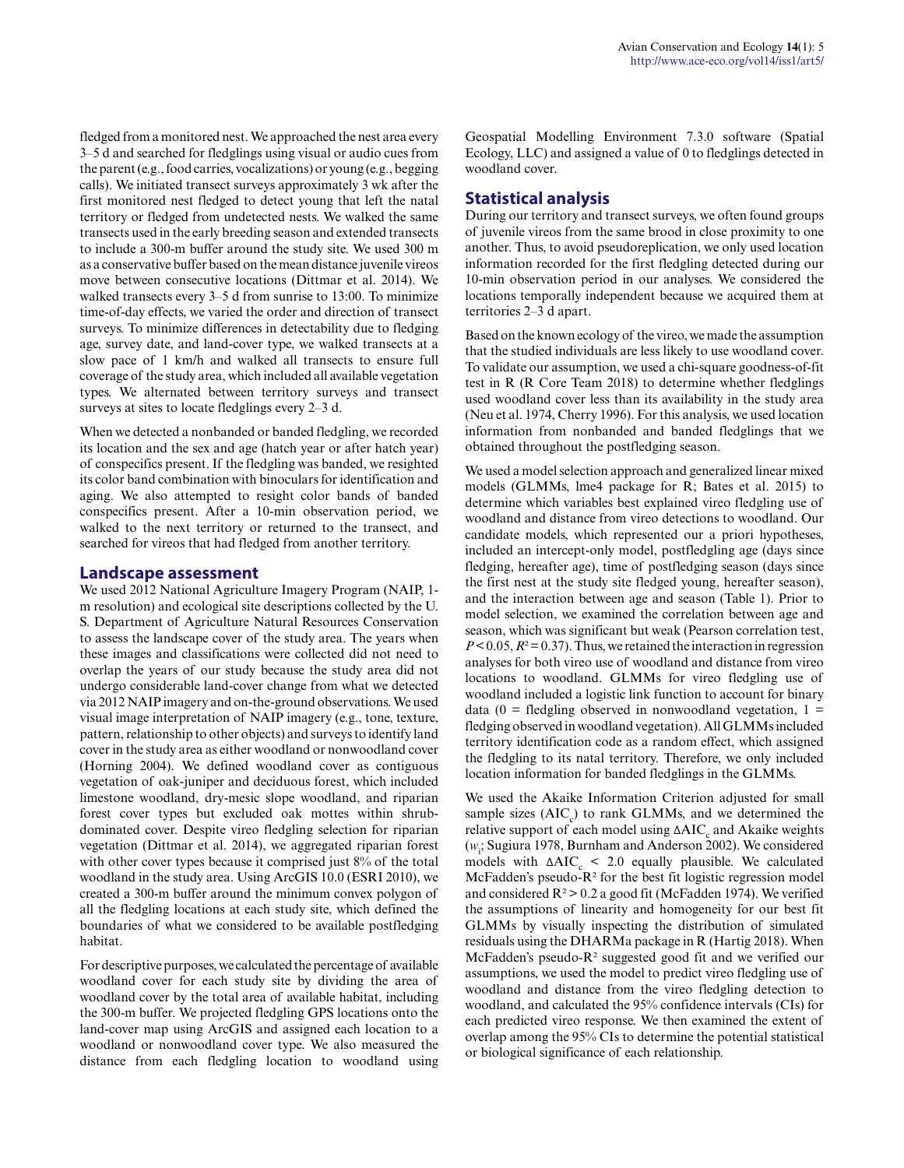fledged from a monitored nest. We approached the nest area every 3–5 d and searched for fledglings using visual or audio cues from the parent (e.g., food carries, vocalizations) or young (e.g., begging calls). We initiated transect surveys approximately 3 wk after the first monitored nest fledged to detect young that left the natal territory or fledged from undetected nests. We walked the same transects used in the early breeding season and extended transects to include a 300-m buffer around the study site. We used 300 m as a conservative buffer based on the mean distance juvenile vireos move between consecutive locations (Dittmar et al. 2014). We walked transects every 3–5 d from sunrise to 13:00. To minimize time-of-day effects, we varied the order and direction of transect surveys. To minimize differences in detectability due to fledging age, survey date, and land-cover type, we walked transects at a slow pace of 1 km/h and walked all transects to ensure full coverage of the study area, which included all available vegetation types. We alternated between territory surveys and transect surveys at sites to locate fledglings every 2–3 d.

When we detected a nonbanded or banded fledgling, we recorded its location and the sex and age (hatch year or after hatch year) of conspecifics present. If the fledgling was banded, we resighted its color band combination with binoculars for identification and aging. We also attempted to resight color bands of banded conspecifics present. After a 10-min observation period, we walked to the next territory or returned to the transect, and searched for vireos that had fledged from another territory.

#### **Landscape assessment**

We used 2012 National Agriculture Imagery Program (NAIP, 1 m resolution) and ecological site descriptions collected by the U. S. Department of Agriculture Natural Resources Conservation to assess the landscape cover of the study area. The years when these images and classifications were collected did not need to overlap the years of our study because the study area did not undergo considerable land-cover change from what we detected via 2012 NAIP imagery and on-the-ground observations. We used visual image interpretation of NAIP imagery (e.g., tone, texture, pattern, relationship to other objects) and surveys to identify land cover in the study area as either woodland or nonwoodland cover (Horning 2004). We defined woodland cover as contiguous vegetation of oak-juniper and deciduous forest, which included limestone woodland, dry-mesic slope woodland, and riparian forest cover types but excluded oak mottes within shrubdominated cover. Despite vireo fledgling selection for riparian vegetation (Dittmar et al. 2014), we aggregated riparian forest with other cover types because it comprised just 8% of the total woodland in the study area. Using ArcGIS 10.0 (ESRI 2010), we created a 300-m buffer around the minimum convex polygon of all the fledgling locations at each study site, which defined the boundaries of what we considered to be available postfledging habitat.

For descriptive purposes, we calculated the percentage of available woodland cover for each study site by dividing the area of woodland cover by the total area of available habitat, including the 300-m buffer. We projected fledgling GPS locations onto the land-cover map using ArcGIS and assigned each location to a woodland or nonwoodland cover type. We also measured the distance from each fledgling location to woodland using Geospatial Modelling Environment 7.3.0 software (Spatial Ecology, LLC) and assigned a value of 0 to fledglings detected in woodland cover.

## **Statistical analysis**

During our territory and transect surveys, we often found groups of juvenile vireos from the same brood in close proximity to one another. Thus, to avoid pseudoreplication, we only used location information recorded for the first fledgling detected during our 10-min observation period in our analyses. We considered the locations temporally independent because we acquired them at territories 2–3 d apart.

Based on the known ecology of the vireo, we made the assumption that the studied individuals are less likely to use woodland cover. To validate our assumption, we used a chi-square goodness-of-fit test in R (R Core Team 2018) to determine whether fledglings used woodland cover less than its availability in the study area (Neu et al. 1974, Cherry 1996). For this analysis, we used location information from nonbanded and banded fledglings that we obtained throughout the postfledging season.

We used a model selection approach and generalized linear mixed models (GLMMs, lme4 package for R; Bates et al. 2015) to determine which variables best explained vireo fledgling use of woodland and distance from vireo detections to woodland. Our candidate models, which represented our a priori hypotheses, included an intercept-only model, postfledgling age (days since fledging, hereafter age), time of postfledging season (days since the first nest at the study site fledged young, hereafter season), and the interaction between age and season (Table 1). Prior to model selection, we examined the correlation between age and season, which was significant but weak (Pearson correlation test,  $P < 0.05$ ,  $R<sup>2</sup> = 0.37$ . Thus, we retained the interaction in regression analyses for both vireo use of woodland and distance from vireo locations to woodland. GLMMs for vireo fledgling use of woodland included a logistic link function to account for binary data (0 = fledgling observed in nonwoodland vegetation,  $1 =$ fledging observed in woodland vegetation). All GLMMs included territory identification code as a random effect, which assigned the fledgling to its natal territory. Therefore, we only included location information for banded fledglings in the GLMMs.

We used the Akaike Information Criterion adjusted for small sample sizes  $(AIC<sub>c</sub>)$  to rank  $GLMMs$ , and we determined the relative support of each model using  $\Delta AIC_{c}$  and Akaike weights (*w*i ; Sugiura 1978, Burnham and Anderson 2002). We considered models with  $\triangle AIC_c \leq 2.0$  equally plausible. We calculated McFadden's pseudo-R² for the best fit logistic regression model and considered  $R^2 > 0.2$  a good fit (McFadden 1974). We verified the assumptions of linearity and homogeneity for our best fit GLMMs by visually inspecting the distribution of simulated residuals using the DHARMa package in R (Hartig 2018). When McFadden's pseudo-R² suggested good fit and we verified our assumptions, we used the model to predict vireo fledgling use of woodland and distance from the vireo fledgling detection to woodland, and calculated the 95% confidence intervals (CIs) for each predicted vireo response. We then examined the extent of overlap among the 95% CIs to determine the potential statistical or biological significance of each relationship.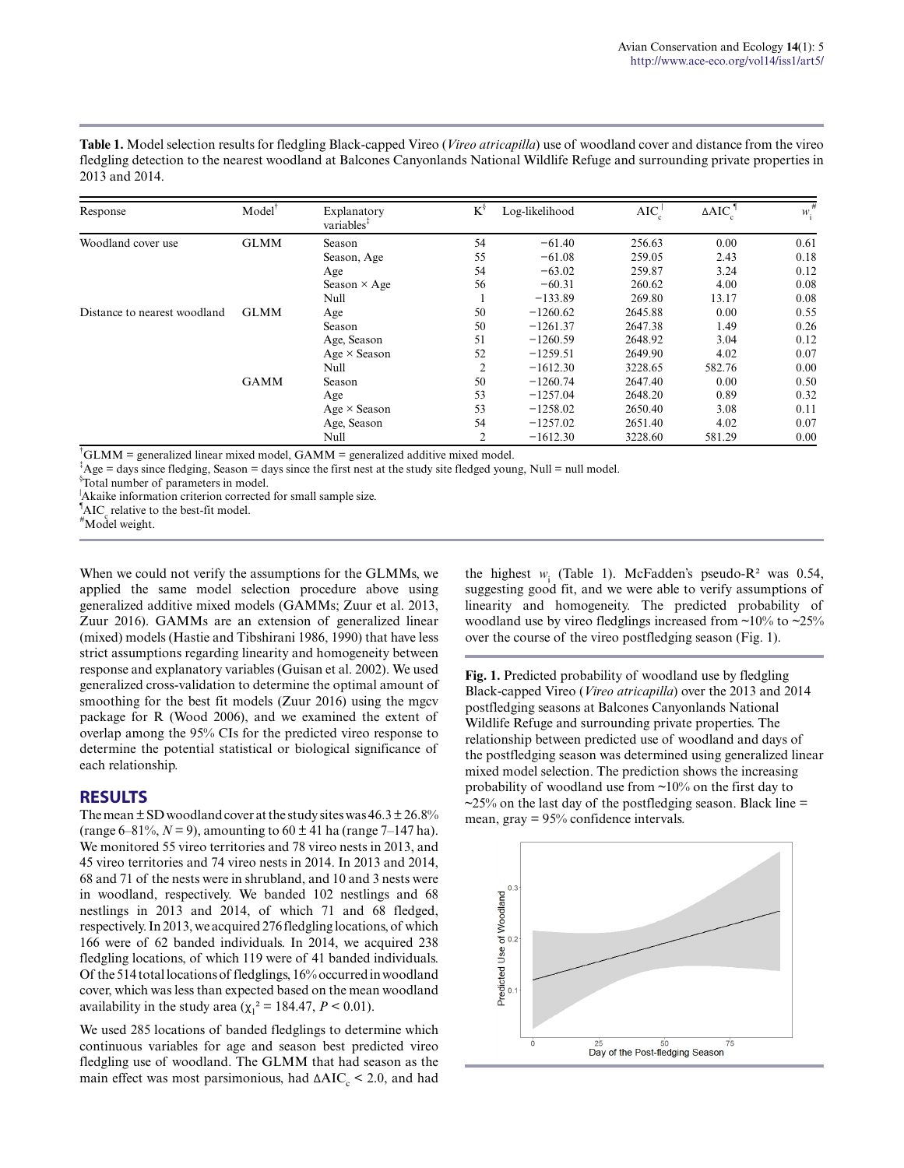**Table 1.** Model selection results for fledgling Black-capped Vireo (*Vireo atricapilla*) use of woodland cover and distance from the vireo fledgling detection to the nearest woodland at Balcones Canyonlands National Wildlife Refuge and surrounding private properties in 2013 and 2014.

| Response                     | $Model^{\dagger}$ | Explanatory<br>variables <sup>1</sup> | $K^{\S}$       | Log-likelihood | $AIC_c^{\dagger}$ | $\triangle AIC$ | #<br>$W_1$ |
|------------------------------|-------------------|---------------------------------------|----------------|----------------|-------------------|-----------------|------------|
| Woodland cover use           | <b>GLMM</b>       | Season                                | 54             | $-61.40$       | 256.63            | 0.00            | 0.61       |
|                              |                   | Season, Age                           | 55             | $-61.08$       | 259.05            | 2.43            | 0.18       |
|                              |                   | Age                                   | 54             | $-63.02$       | 259.87            | 3.24            | 0.12       |
|                              |                   | Season $\times$ Age                   | 56             | $-60.31$       | 260.62            | 4.00            | 0.08       |
|                              |                   | Null                                  |                | $-133.89$      | 269.80            | 13.17           | 0.08       |
| Distance to nearest woodland | <b>GLMM</b>       | Age                                   | 50             | $-1260.62$     | 2645.88           | 0.00            | 0.55       |
|                              |                   | Season                                | 50             | $-1261.37$     | 2647.38           | 1.49            | 0.26       |
|                              |                   | Age, Season                           | 51             | $-1260.59$     | 2648.92           | 3.04            | 0.12       |
|                              |                   | $Age \times Season$                   | 52             | $-1259.51$     | 2649.90           | 4.02            | 0.07       |
|                              |                   | Null                                  | $\overline{2}$ | $-1612.30$     | 3228.65           | 582.76          | 0.00       |
|                              | <b>GAMM</b>       | Season                                | 50             | $-1260.74$     | 2647.40           | 0.00            | 0.50       |
|                              |                   | Age                                   | 53             | $-1257.04$     | 2648.20           | 0.89            | 0.32       |
|                              |                   | $Age \times Season$                   | 53             | $-1258.02$     | 2650.40           | 3.08            | 0.11       |
|                              |                   | Age, Season                           | 54             | $-1257.02$     | 2651.40           | 4.02            | 0.07       |
|                              |                   | Null                                  | 2              | $-1612.30$     | 3228.60           | 581.29          | 0.00       |

 $\text{PGLMM}$  = generalized linear mixed model, GAMM = generalized additive mixed model.

 ${}^{\ddagger}$ Age = days since fledging, Season = days since the first nest at the study site fledged young, Null = null model.

§ Total number of parameters in model.

<sup>|</sup>Akaike information criterion corrected for small sample size.

 $^{\bullet}$ AIC<sub>c</sub> relative to the best-fit model.

#Model weight.

When we could not verify the assumptions for the GLMMs, we applied the same model selection procedure above using generalized additive mixed models (GAMMs; Zuur et al. 2013, Zuur 2016). GAMMs are an extension of generalized linear (mixed) models (Hastie and Tibshirani 1986, 1990) that have less strict assumptions regarding linearity and homogeneity between response and explanatory variables (Guisan et al. 2002). We used generalized cross-validation to determine the optimal amount of smoothing for the best fit models (Zuur 2016) using the mgcv package for R (Wood 2006), and we examined the extent of overlap among the 95% CIs for the predicted vireo response to determine the potential statistical or biological significance of each relationship.

#### **RESULTS**

The mean  $\pm$  SD woodland cover at the study sites was 46.3  $\pm$  26.8% (range 6–81%,  $N = 9$ ), amounting to  $60 \pm 41$  ha (range 7–147 ha). We monitored 55 vireo territories and 78 vireo nests in 2013, and 45 vireo territories and 74 vireo nests in 2014. In 2013 and 2014, 68 and 71 of the nests were in shrubland, and 10 and 3 nests were in woodland, respectively. We banded 102 nestlings and 68 nestlings in 2013 and 2014, of which 71 and 68 fledged, respectively. In 2013, we acquired 276 fledgling locations, of which 166 were of 62 banded individuals. In 2014, we acquired 238 fledgling locations, of which 119 were of 41 banded individuals. Of the 514 total locations of fledglings, 16% occurred in woodland cover, which was less than expected based on the mean woodland availability in the study area  $(\chi_1^2 = 184.47, P \le 0.01)$ .

We used 285 locations of banded fledglings to determine which continuous variables for age and season best predicted vireo fledgling use of woodland. The GLMM that had season as the main effect was most parsimonious, had  $\Delta AIC_c < 2.0$ , and had

the highest  $w_i$  (Table 1). McFadden's pseudo-R<sup>2</sup> was 0.54, suggesting good fit, and we were able to verify assumptions of linearity and homogeneity. The predicted probability of woodland use by vireo fledglings increased from  $\sim$ 10% to  $\sim$ 25% over the course of the vireo postfledging season (Fig. 1).

**Fig. 1.** Predicted probability of woodland use by fledgling Black-capped Vireo (*Vireo atricapilla*) over the 2013 and 2014 postfledging seasons at Balcones Canyonlands National Wildlife Refuge and surrounding private properties. The relationship between predicted use of woodland and days of the postfledging season was determined using generalized linear mixed model selection. The prediction shows the increasing probability of woodland use from ~10% on the first day to  $\approx$  25% on the last day of the postfledging season. Black line = mean, gray = 95% confidence intervals.

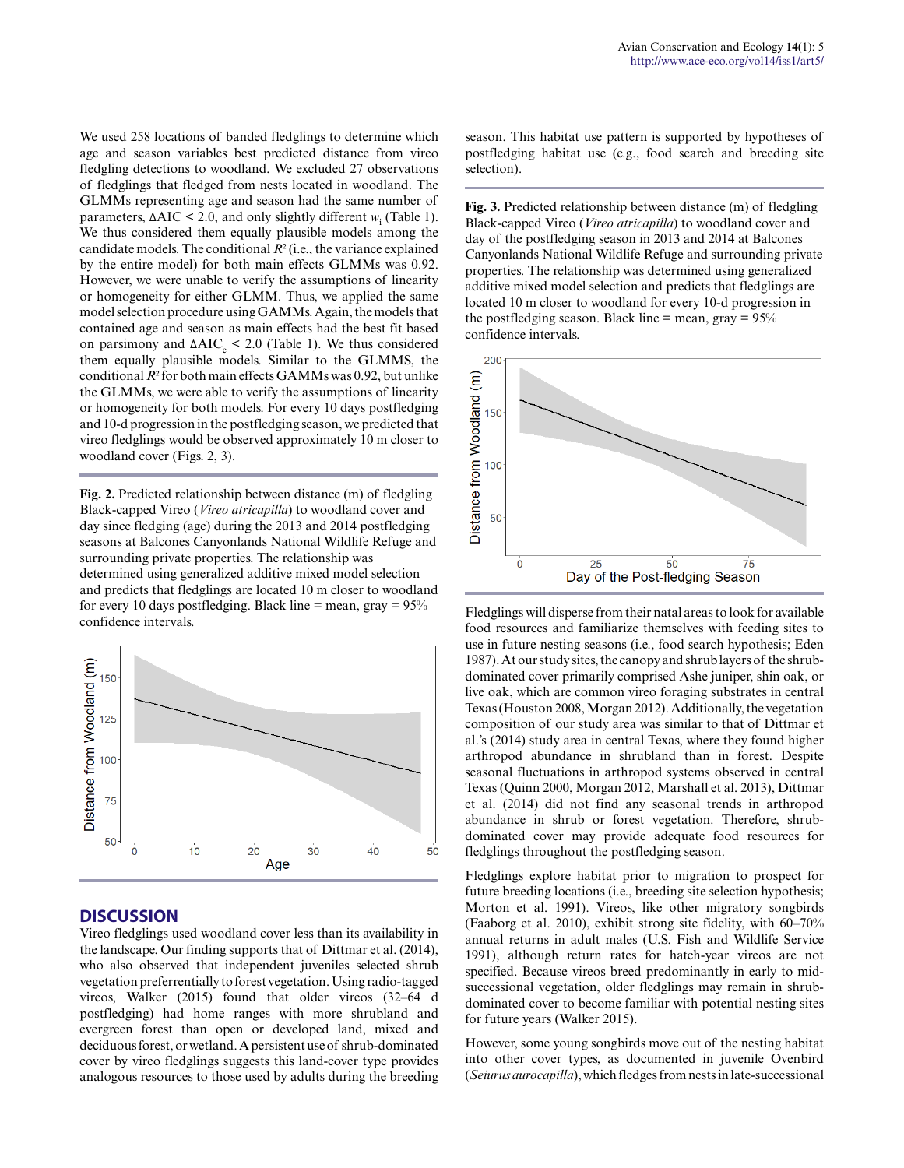We used 258 locations of banded fledglings to determine which age and season variables best predicted distance from vireo fledgling detections to woodland. We excluded 27 observations of fledglings that fledged from nests located in woodland. The GLMMs representing age and season had the same number of parameters,  $\Delta AIC \leq 2.0$ , and only slightly different *w*<sub>i</sub> (Table 1). We thus considered them equally plausible models among the candidate models. The conditional *R*² (i.e., the variance explained by the entire model) for both main effects GLMMs was 0.92. However, we were unable to verify the assumptions of linearity or homogeneity for either GLMM. Thus, we applied the same model selection procedure using GAMMs. Again, the models that contained age and season as main effects had the best fit based on parsimony and  $ΔAIC<sub>c</sub> < 2.0$  (Table 1). We thus considered them equally plausible models. Similar to the GLMMS, the conditional *R*² for both main effects GAMMs was 0.92, but unlike the GLMMs, we were able to verify the assumptions of linearity or homogeneity for both models. For every 10 days postfledging and 10-d progression in the postfledging season, we predicted that vireo fledglings would be observed approximately 10 m closer to woodland cover (Figs. 2, 3).

**Fig. 2.** Predicted relationship between distance (m) of fledgling Black-capped Vireo (*Vireo atricapilla*) to woodland cover and day since fledging (age) during the 2013 and 2014 postfledging seasons at Balcones Canyonlands National Wildlife Refuge and surrounding private properties. The relationship was determined using generalized additive mixed model selection and predicts that fledglings are located 10 m closer to woodland for every 10 days postfledging. Black line = mean, gray =  $95\%$ confidence intervals.



#### **DISCUSSION**

Vireo fledglings used woodland cover less than its availability in the landscape. Our finding supports that of Dittmar et al. (2014), who also observed that independent juveniles selected shrub vegetation preferrentially to forest vegetation. Using radio-tagged vireos, Walker (2015) found that older vireos (32–64 d postfledging) had home ranges with more shrubland and evergreen forest than open or developed land, mixed and deciduous forest, or wetland. A persistent use of shrub-dominated cover by vireo fledglings suggests this land-cover type provides analogous resources to those used by adults during the breeding season. This habitat use pattern is supported by hypotheses of postfledging habitat use (e.g., food search and breeding site selection).

**Fig. 3.** Predicted relationship between distance (m) of fledgling Black-capped Vireo (*Vireo atricapilla*) to woodland cover and day of the postfledging season in 2013 and 2014 at Balcones Canyonlands National Wildlife Refuge and surrounding private properties. The relationship was determined using generalized additive mixed model selection and predicts that fledglings are located 10 m closer to woodland for every 10-d progression in the postfledging season. Black line  $=$  mean, gray  $= 95\%$ confidence intervals.



Fledglings will disperse from their natal areas to look for available food resources and familiarize themselves with feeding sites to use in future nesting seasons (i.e., food search hypothesis; Eden 1987). At our study sites, the canopy and shrub layers of the shrubdominated cover primarily comprised Ashe juniper, shin oak, or live oak, which are common vireo foraging substrates in central Texas (Houston 2008, Morgan 2012). Additionally, the vegetation composition of our study area was similar to that of Dittmar et al.'s (2014) study area in central Texas, where they found higher arthropod abundance in shrubland than in forest. Despite seasonal fluctuations in arthropod systems observed in central Texas (Quinn 2000, Morgan 2012, Marshall et al. 2013), Dittmar et al. (2014) did not find any seasonal trends in arthropod abundance in shrub or forest vegetation. Therefore, shrubdominated cover may provide adequate food resources for fledglings throughout the postfledging season.

Fledglings explore habitat prior to migration to prospect for future breeding locations (i.e., breeding site selection hypothesis; Morton et al. 1991). Vireos, like other migratory songbirds (Faaborg et al. 2010), exhibit strong site fidelity, with 60–70% annual returns in adult males (U.S. Fish and Wildlife Service 1991), although return rates for hatch-year vireos are not specified. Because vireos breed predominantly in early to midsuccessional vegetation, older fledglings may remain in shrubdominated cover to become familiar with potential nesting sites for future years (Walker 2015).

However, some young songbirds move out of the nesting habitat into other cover types, as documented in juvenile Ovenbird (*Seiurus aurocapilla*), which fledges from nests in late-successional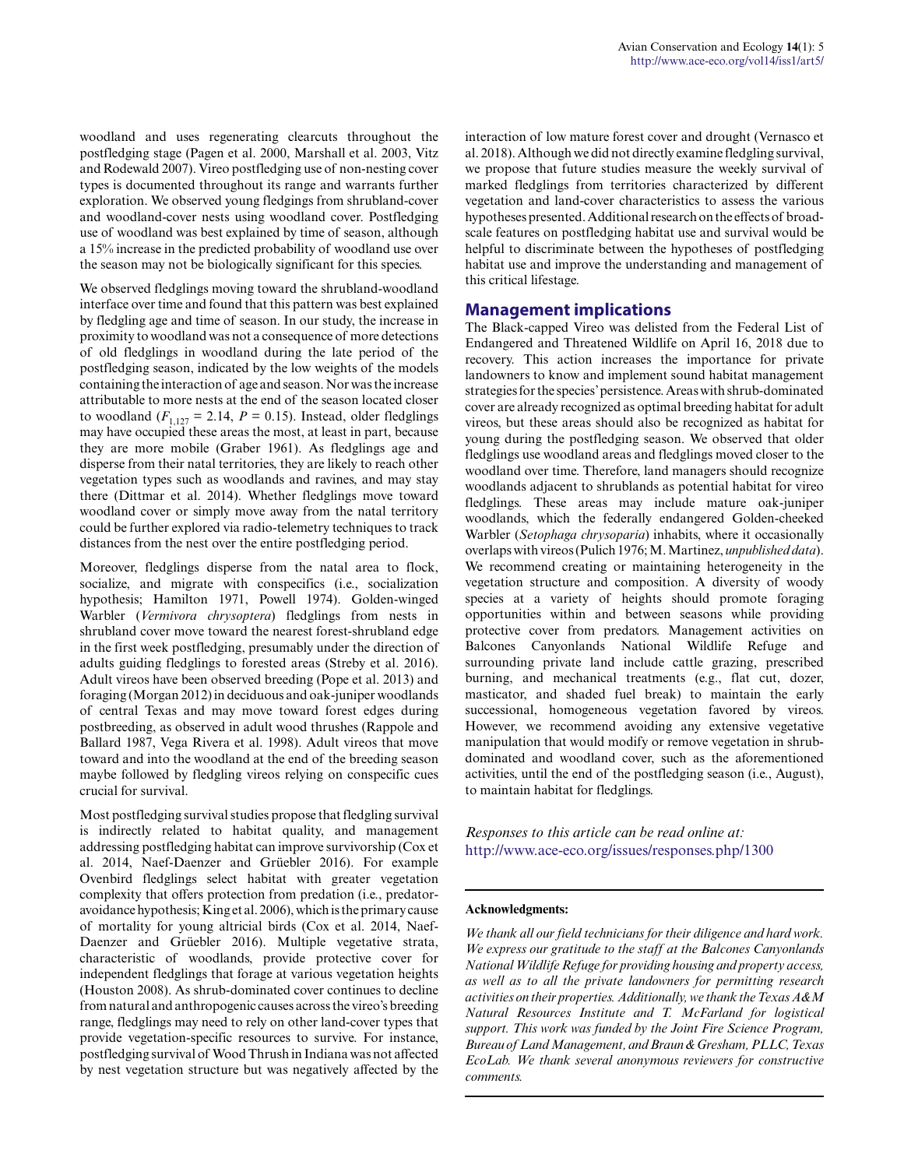woodland and uses regenerating clearcuts throughout the postfledging stage (Pagen et al. 2000, Marshall et al. 2003, Vitz and Rodewald 2007). Vireo postfledging use of non-nesting cover types is documented throughout its range and warrants further exploration. We observed young fledgings from shrubland-cover and woodland-cover nests using woodland cover. Postfledging use of woodland was best explained by time of season, although a 15% increase in the predicted probability of woodland use over the season may not be biologically significant for this species.

We observed fledglings moving toward the shrubland-woodland interface over time and found that this pattern was best explained by fledgling age and time of season. In our study, the increase in proximity to woodland was not a consequence of more detections of old fledglings in woodland during the late period of the postfledging season, indicated by the low weights of the models containing the interaction of age and season. Nor was the increase attributable to more nests at the end of the season located closer to woodland  $(F_{1,127} = 2.14, P = 0.15)$ . Instead, older fledglings may have occupied these areas the most, at least in part, because they are more mobile (Graber 1961). As fledglings age and disperse from their natal territories, they are likely to reach other vegetation types such as woodlands and ravines, and may stay there (Dittmar et al. 2014). Whether fledglings move toward woodland cover or simply move away from the natal territory could be further explored via radio-telemetry techniques to track distances from the nest over the entire postfledging period.

Moreover, fledglings disperse from the natal area to flock, socialize, and migrate with conspecifics (i.e., socialization hypothesis; Hamilton 1971, Powell 1974). Golden-winged Warbler (*Vermivora chrysoptera*) fledglings from nests in shrubland cover move toward the nearest forest-shrubland edge in the first week postfledging, presumably under the direction of adults guiding fledglings to forested areas (Streby et al. 2016). Adult vireos have been observed breeding (Pope et al. 2013) and foraging (Morgan 2012) in deciduous and oak-juniper woodlands of central Texas and may move toward forest edges during postbreeding, as observed in adult wood thrushes (Rappole and Ballard 1987, Vega Rivera et al. 1998). Adult vireos that move toward and into the woodland at the end of the breeding season maybe followed by fledgling vireos relying on conspecific cues crucial for survival.

Most postfledging survival studies propose that fledgling survival is indirectly related to habitat quality, and management addressing postfledging habitat can improve survivorship (Cox et al. 2014, Naef-Daenzer and Grüebler 2016). For example Ovenbird fledglings select habitat with greater vegetation complexity that offers protection from predation (i.e., predatoravoidance hypothesis; King et al. 2006), which is the primary cause of mortality for young altricial birds (Cox et al. 2014, Naef-Daenzer and Grüebler 2016). Multiple vegetative strata, characteristic of woodlands, provide protective cover for independent fledglings that forage at various vegetation heights (Houston 2008). As shrub-dominated cover continues to decline from natural and anthropogenic causes across the vireo's breeding range, fledglings may need to rely on other land-cover types that provide vegetation-specific resources to survive. For instance, postfledging survival of Wood Thrush in Indiana was not affected by nest vegetation structure but was negatively affected by the

interaction of low mature forest cover and drought (Vernasco et al. 2018). Although we did not directly examine fledgling survival, we propose that future studies measure the weekly survival of marked fledglings from territories characterized by different vegetation and land-cover characteristics to assess the various hypotheses presented. Additional research on the effects of broadscale features on postfledging habitat use and survival would be helpful to discriminate between the hypotheses of postfledging habitat use and improve the understanding and management of this critical lifestage.

#### **Management implications**

The Black-capped Vireo was delisted from the Federal List of Endangered and Threatened Wildlife on April 16, 2018 due to recovery. This action increases the importance for private landowners to know and implement sound habitat management strategies for the species' persistence. Areas with shrub-dominated cover are already recognized as optimal breeding habitat for adult vireos, but these areas should also be recognized as habitat for young during the postfledging season. We observed that older fledglings use woodland areas and fledglings moved closer to the woodland over time. Therefore, land managers should recognize woodlands adjacent to shrublands as potential habitat for vireo fledglings. These areas may include mature oak-juniper woodlands, which the federally endangered Golden-cheeked Warbler (*Setophaga chrysoparia*) inhabits, where it occasionally overlaps with vireos (Pulich 1976; M. Martinez, *unpublished data*). We recommend creating or maintaining heterogeneity in the vegetation structure and composition. A diversity of woody species at a variety of heights should promote foraging opportunities within and between seasons while providing protective cover from predators. Management activities on Balcones Canyonlands National Wildlife Refuge and surrounding private land include cattle grazing, prescribed burning, and mechanical treatments (e.g., flat cut, dozer, masticator, and shaded fuel break) to maintain the early successional, homogeneous vegetation favored by vireos. However, we recommend avoiding any extensive vegetative manipulation that would modify or remove vegetation in shrubdominated and woodland cover, such as the aforementioned activities, until the end of the postfledging season (i.e., August), to maintain habitat for fledglings.

*Responses to this article can be read online at:* <http://www.ace-eco.org/issues/responses.php/1300>

#### **Acknowledgments:**

*We thank all our field technicians for their diligence and hard work. We express our gratitude to the staff at the Balcones Canyonlands National Wildlife Refuge for providing housing and property access, as well as to all the private landowners for permitting research activities on their properties. Additionally, we thank the Texas A&M Natural Resources Institute and T. McFarland for logistical support. This work was funded by the Joint Fire Science Program, Bureau of Land Management, and Braun & Gresham, PLLC, Texas EcoLab. We thank several anonymous reviewers for constructive comments.*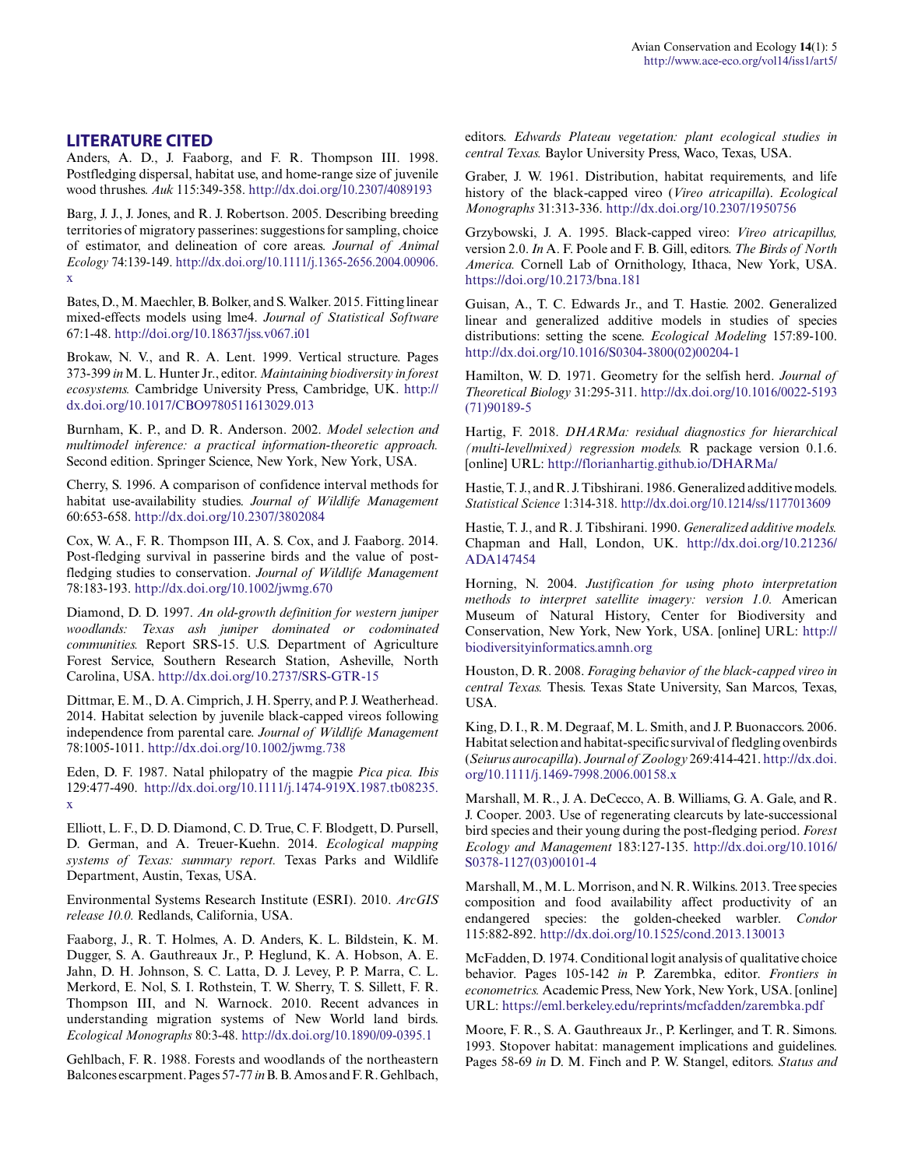#### **LITERATURE CITED**

Anders, A. D., J. Faaborg, and F. R. Thompson III. 1998. Postfledging dispersal, habitat use, and home-range size of juvenile wood thrushes. *Auk* 115:349-358.<http://dx.doi.org/10.2307/4089193>

Barg, J. J., J. Jones, and R. J. Robertson. 2005. Describing breeding territories of migratory passerines: suggestions for sampling, choice of estimator, and delineation of core areas. *Journal of Animal Ecology* 74:139-149. [http://dx.doi.org/10.1111/j.1365-2656.2004.00906.](http://dx.doi.org/10.1111/j.1365-2656.2004.00906.x) [x](http://dx.doi.org/10.1111/j.1365-2656.2004.00906.x) 

Bates, D., M. Maechler, B. Bolker, and S. Walker. 2015. Fitting linear mixed-effects models using lme4. *Journal of Statistical Software* 67:1-48. <http://doi.org/10.18637/jss.v067.i01>

Brokaw, N. V., and R. A. Lent. 1999. Vertical structure. Pages 373-399 *in* M. L. Hunter Jr., editor. *Maintaining biodiversity in forest ecosystems.* Cambridge University Press, Cambridge, UK. [http://](http://dx.doi.org/10.1017/CBO9780511613029.013) [dx.doi.org/10.1017/CBO9780511613029.013](http://dx.doi.org/10.1017/CBO9780511613029.013) 

Burnham, K. P., and D. R. Anderson. 2002. *Model selection and multimodel inference: a practical information-theoretic approach.* Second edition. Springer Science, New York, New York, USA.

Cherry, S. 1996. A comparison of confidence interval methods for habitat use-availability studies. *Journal of Wildlife Management* 60:653-658.<http://dx.doi.org/10.2307/3802084>

Cox, W. A., F. R. Thompson III, A. S. Cox, and J. Faaborg. 2014. Post-fledging survival in passerine birds and the value of postfledging studies to conservation. *Journal of Wildlife Management* 78:183-193.<http://dx.doi.org/10.1002/jwmg.670>

Diamond, D. D. 1997. *An old-growth definition for western juniper woodlands: Texas ash juniper dominated or codominated communities.* Report SRS-15. U.S. Department of Agriculture Forest Service, Southern Research Station, Asheville, North Carolina, USA.<http://dx.doi.org/10.2737/SRS-GTR-15>

Dittmar, E. M., D. A. Cimprich, J. H. Sperry, and P. J. Weatherhead. 2014. Habitat selection by juvenile black-capped vireos following independence from parental care. *Journal of Wildlife Management* 78:1005-1011.<http://dx.doi.org/10.1002/jwmg.738>

Eden, D. F. 1987. Natal philopatry of the magpie *Pica pica. Ibis* 129:477-490. [http://dx.doi.org/10.1111/j.1474-919X.1987.tb08235.](http://dx.doi.org/10.1111/j.1474-919X.1987.tb08235.x) [x](http://dx.doi.org/10.1111/j.1474-919X.1987.tb08235.x) 

Elliott, L. F., D. D. Diamond, C. D. True, C. F. Blodgett, D. Pursell, D. German, and A. Treuer-Kuehn. 2014. *Ecological mapping systems of Texas: summary report.* Texas Parks and Wildlife Department, Austin, Texas, USA.

Environmental Systems Research Institute (ESRI). 2010. *ArcGIS release 10.0.* Redlands, California, USA.

Faaborg, J., R. T. Holmes, A. D. Anders, K. L. Bildstein, K. M. Dugger, S. A. Gauthreaux Jr., P. Heglund, K. A. Hobson, A. E. Jahn, D. H. Johnson, S. C. Latta, D. J. Levey, P. P. Marra, C. L. Merkord, E. Nol, S. I. Rothstein, T. W. Sherry, T. S. Sillett, F. R. Thompson III, and N. Warnock. 2010. Recent advances in understanding migration systems of New World land birds. *Ecological Monographs* 80:3-48. <http://dx.doi.org/10.1890/09-0395.1>

Gehlbach, F. R. 1988. Forests and woodlands of the northeastern Balcones escarpment. Pages 57-77 *in* B. B. Amos and F. R. Gehlbach,

editors. *Edwards Plateau vegetation: plant ecological studies in central Texas.* Baylor University Press, Waco, Texas, USA.

Graber, J. W. 1961. Distribution, habitat requirements, and life history of the black-capped vireo (*Vireo atricapilla*). *Ecological Monographs* 31:313-336.<http://dx.doi.org/10.2307/1950756>

Grzybowski, J. A. 1995. Black-capped vireo: *Vireo atricapillus,* version 2.0. *In* A. F. Poole and F. B. Gill, editors. *The Birds of North America.* Cornell Lab of Ornithology, Ithaca, New York, USA. <https://doi.org/10.2173/bna.181>

Guisan, A., T. C. Edwards Jr., and T. Hastie. 2002. Generalized linear and generalized additive models in studies of species distributions: setting the scene. *Ecological Modeling* 157:89-100. [http://dx.doi.org/10.1016/S0304-3800\(02\)00204-1](http://dx.doi.org/10.1016/S0304-3800%2802%2900204-1)

Hamilton, W. D. 1971. Geometry for the selfish herd. *Journal of Theoretical Biology* 31:295-311. [http://dx.doi.org/10.1016/0022-5193](http://dx.doi.org/10.1016/0022-5193%2871%2990189-5) [\(71\)90189-5](http://dx.doi.org/10.1016/0022-5193%2871%2990189-5) 

Hartig, F. 2018. *DHARMa: residual diagnostics for hierarchical (multi-level/mixed) regression models.* R package version 0.1.6. [online] URL: <http://florianhartig.github.io/DHARMa/>

Hastie, T. J., and R. J. Tibshirani. 1986. Generalized additive models. *Statistical Science* 1:314-318.<http://dx.doi.org/10.1214/ss/1177013609>

Hastie, T. J., and R. J. Tibshirani. 1990. *Generalized additive models.* Chapman and Hall, London, UK. [http://dx.doi.org/10.21236/](http://dx.doi.org/10.21236/ADA147454) [ADA147454](http://dx.doi.org/10.21236/ADA147454) 

Horning, N. 2004. *Justification for using photo interpretation methods to interpret satellite imagery: version 1.0.* American Museum of Natural History, Center for Biodiversity and Conservation, New York, New York, USA. [online] URL: [http://](http://biodiversityinformatics.amnh.org) [biodiversityinformatics.amnh.org](http://biodiversityinformatics.amnh.org) 

Houston, D. R. 2008. *Foraging behavior of the black-capped vireo in central Texas.* Thesis. Texas State University, San Marcos, Texas, USA.

King, D. I., R. M. Degraaf, M. L. Smith, and J. P. Buonaccors. 2006. Habitat selection and habitat-specific survival of fledgling ovenbirds (*Seiurus aurocapilla*). *Journal of Zoology* 269:414-421. [http://dx.doi.](http://dx.doi.org/10.1111/j.1469-7998.2006.00158.x) [org/10.1111/j.1469-7998.2006.00158.x](http://dx.doi.org/10.1111/j.1469-7998.2006.00158.x)

Marshall, M. R., J. A. DeCecco, A. B. Williams, G. A. Gale, and R. J. Cooper. 2003. Use of regenerating clearcuts by late-successional bird species and their young during the post-fledging period. *Forest Ecology and Management* 183:127-135. [http://dx.doi.org/10.1016/](http://dx.doi.org/10.1016/S0378-1127%2803%2900101-4) [S0378-1127\(03\)00101-4](http://dx.doi.org/10.1016/S0378-1127%2803%2900101-4) 

Marshall, M., M. L. Morrison, and N. R. Wilkins. 2013. Tree species composition and food availability affect productivity of an endangered species: the golden-cheeked warbler. *Condor* 115:882-892. <http://dx.doi.org/10.1525/cond.2013.130013>

McFadden, D. 1974. Conditional logit analysis of qualitative choice behavior. Pages 105-142 *in* P. Zarembka, editor. *Frontiers in econometrics.* Academic Press, New York, New York, USA. [online] URL:<https://eml.berkeley.edu/reprints/mcfadden/zarembka.pdf>

Moore, F. R., S. A. Gauthreaux Jr., P. Kerlinger, and T. R. Simons. 1993. Stopover habitat: management implications and guidelines. Pages 58-69 *in* D. M. Finch and P. W. Stangel, editors. *Status and*